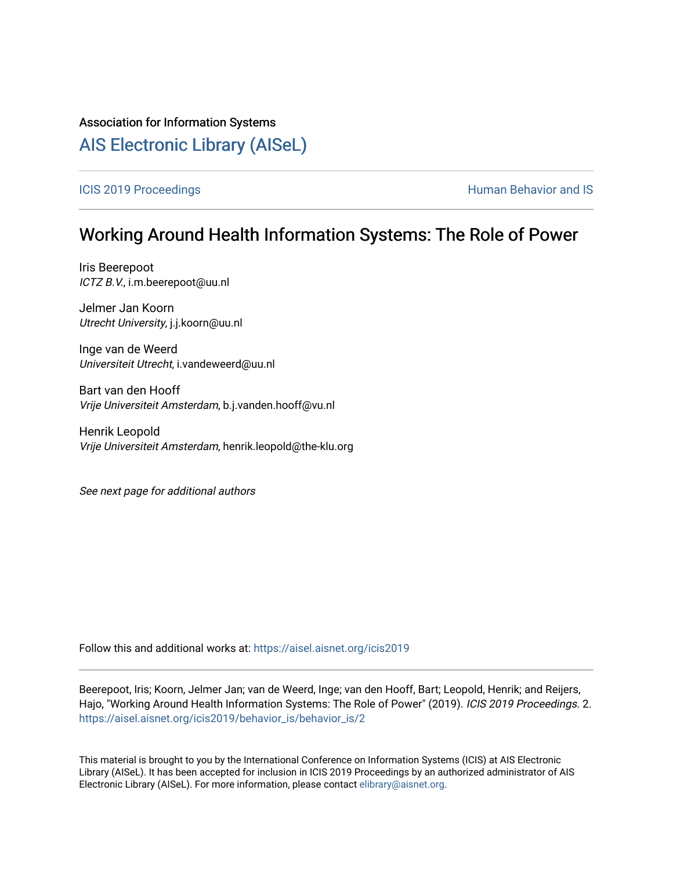### Association for Information Systems

# [AIS Electronic Library \(AISeL\)](https://aisel.aisnet.org/)

#### [ICIS 2019 Proceedings](https://aisel.aisnet.org/icis2019) **Human Behavior and IS Human Behavior and IS**

# Working Around Health Information Systems: The Role of Power

Iris Beerepoot ICTZ B.V., i.m.beerepoot@uu.nl

Jelmer Jan Koorn Utrecht University, j.j.koorn@uu.nl

Inge van de Weerd Universiteit Utrecht, i.vandeweerd@uu.nl

Bart van den Hooff Vrije Universiteit Amsterdam, b.j.vanden.hooff@vu.nl

Henrik Leopold Vrije Universiteit Amsterdam, henrik.leopold@the-klu.org

See next page for additional authors

Follow this and additional works at: [https://aisel.aisnet.org/icis2019](https://aisel.aisnet.org/icis2019?utm_source=aisel.aisnet.org%2Ficis2019%2Fbehavior_is%2Fbehavior_is%2F2&utm_medium=PDF&utm_campaign=PDFCoverPages) 

Beerepoot, Iris; Koorn, Jelmer Jan; van de Weerd, Inge; van den Hooff, Bart; Leopold, Henrik; and Reijers, Hajo, "Working Around Health Information Systems: The Role of Power" (2019). ICIS 2019 Proceedings. 2. [https://aisel.aisnet.org/icis2019/behavior\\_is/behavior\\_is/2](https://aisel.aisnet.org/icis2019/behavior_is/behavior_is/2?utm_source=aisel.aisnet.org%2Ficis2019%2Fbehavior_is%2Fbehavior_is%2F2&utm_medium=PDF&utm_campaign=PDFCoverPages)

This material is brought to you by the International Conference on Information Systems (ICIS) at AIS Electronic Library (AISeL). It has been accepted for inclusion in ICIS 2019 Proceedings by an authorized administrator of AIS Electronic Library (AISeL). For more information, please contact [elibrary@aisnet.org.](mailto:elibrary@aisnet.org%3E)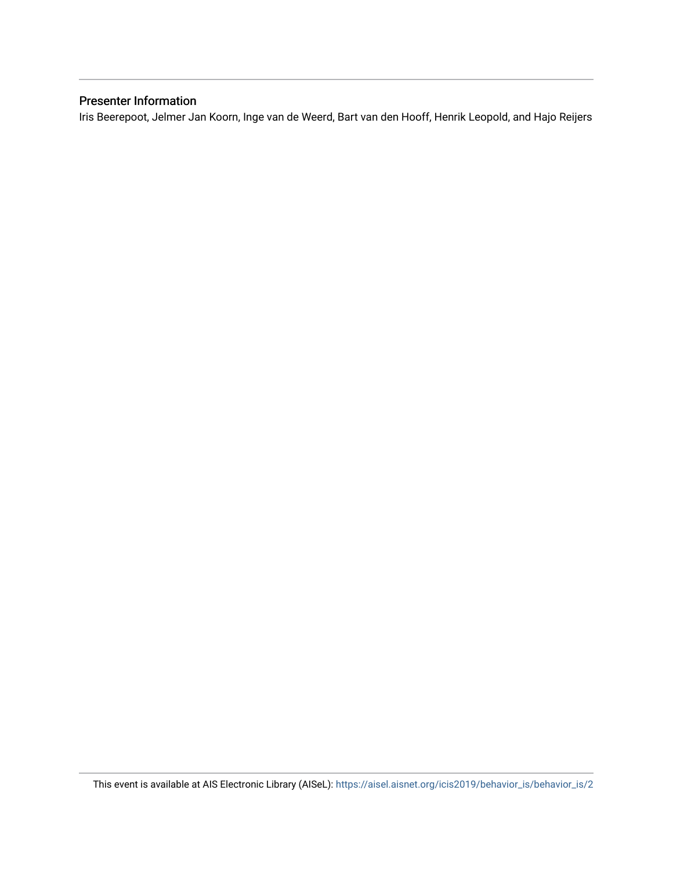### Presenter Information

Iris Beerepoot, Jelmer Jan Koorn, Inge van de Weerd, Bart van den Hooff, Henrik Leopold, and Hajo Reijers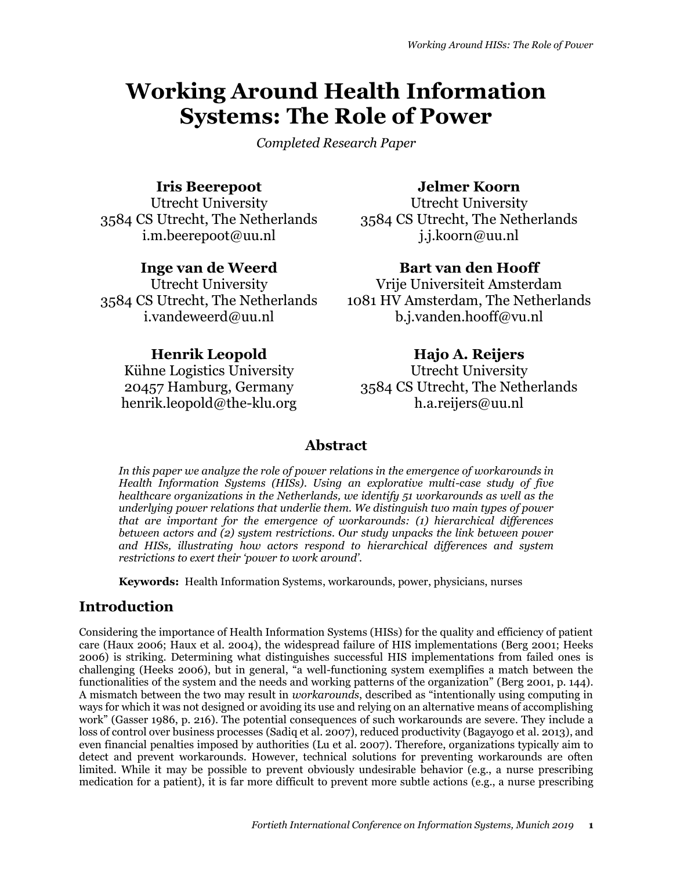# **Working Around Health Information Systems: The Role of Power**

*Completed Research Paper*

### **Iris Beerepoot**

Utrecht University 3584 CS Utrecht, The Netherlands i.m.beerepoot@uu.nl

### **Inge van de Weerd**

Utrecht University 3584 CS Utrecht, The Netherlands i.vandeweerd@uu.nl

### **Jelmer Koorn**

Utrecht University 3584 CS Utrecht, The Netherlands j.j.koorn@uu.nl

### **Bart van den Hooff**

Vrije Universiteit Amsterdam 1081 HV Amsterdam, The Netherlands b.j.vanden.hooff@vu.nl

### **Henrik Leopold**

Kühne Logistics University 20457 Hamburg, Germany henrik.leopold@the-klu.org

### **Hajo A. Reijers**

Utrecht University 3584 CS Utrecht, The Netherlands h.a.reijers@uu.nl

### **Abstract**

*In this paper we analyze the role of power relations in the emergence of workarounds in Health Information Systems (HISs). Using an explorative multi-case study of five healthcare organizations in the Netherlands, we identify 51 workarounds as well as the underlying power relations that underlie them. We distinguish two main types of power that are important for the emergence of workarounds: (1) hierarchical differences between actors and (2) system restrictions. Our study unpacks the link between power and HISs, illustrating how actors respond to hierarchical differences and system restrictions to exert their 'power to work around'.*

**Keywords:** Health Information Systems, workarounds, power, physicians, nurses

### **Introduction**

Considering the importance of Health Information Systems (HISs) for the quality and efficiency of patient care (Haux 2006; Haux et al. 2004), the widespread failure of HIS implementations (Berg 2001; Heeks 2006) is striking. Determining what distinguishes successful HIS implementations from failed ones is challenging (Heeks 2006), but in general, "a well-functioning system exemplifies a match between the functionalities of the system and the needs and working patterns of the organization" (Berg 2001, p. 144). A mismatch between the two may result in *workarounds*, described as "intentionally using computing in ways for which it was not designed or avoiding its use and relying on an alternative means of accomplishing work" (Gasser 1986, p. 216). The potential consequences of such workarounds are severe. They include a loss of control over business processes (Sadiq et al. 2007), reduced productivity (Bagayogo et al. 2013), and even financial penalties imposed by authorities (Lu et al. 2007). Therefore, organizations typically aim to detect and prevent workarounds. However, technical solutions for preventing workarounds are often limited. While it may be possible to prevent obviously undesirable behavior (e.g., a nurse prescribing medication for a patient), it is far more difficult to prevent more subtle actions (e.g., a nurse prescribing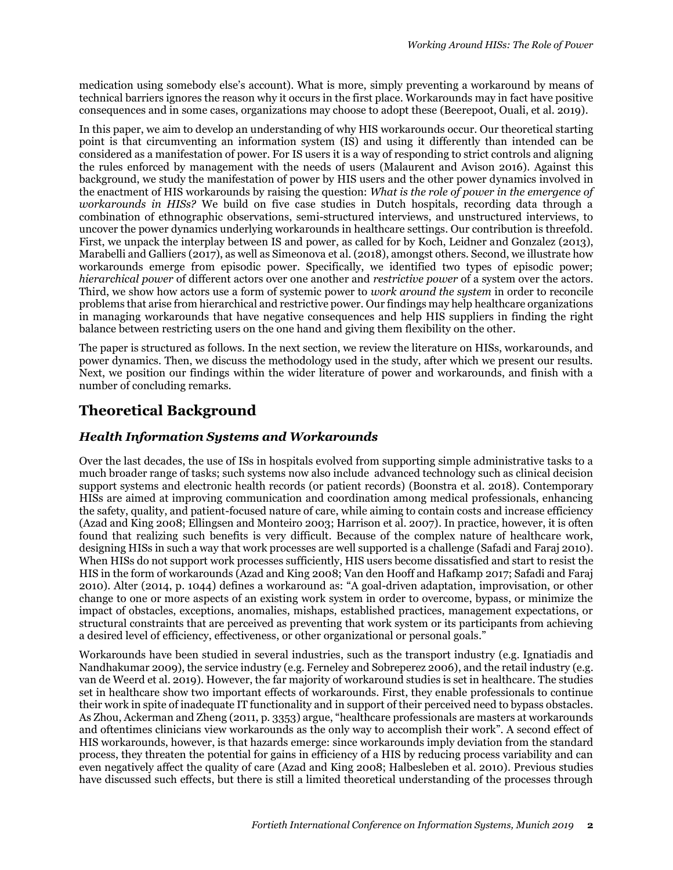medication using somebody else's account). What is more, simply preventing a workaround by means of technical barriers ignores the reason why it occurs in the first place. Workarounds may in fact have positive consequences and in some cases, organizations may choose to adopt these (Beerepoot, Ouali, et al. 2019).

In this paper, we aim to develop an understanding of why HIS workarounds occur. Our theoretical starting point is that circumventing an information system (IS) and using it differently than intended can be considered as a manifestation of power. For IS users it is a way of responding to strict controls and aligning the rules enforced by management with the needs of users (Malaurent and Avison 2016). Against this background, we study the manifestation of power by HIS users and the other power dynamics involved in the enactment of HIS workarounds by raising the question: *What is the role of power in the emergence of workarounds in HISs?* We build on five case studies in Dutch hospitals, recording data through a combination of ethnographic observations, semi-structured interviews, and unstructured interviews, to uncover the power dynamics underlying workarounds in healthcare settings. Our contribution is threefold. First, we unpack the interplay between IS and power, as called for by Koch, Leidner and Gonzalez (2013), Marabelli and Galliers (2017), as well as Simeonova et al. (2018), amongst others. Second, we illustrate how workarounds emerge from episodic power. Specifically, we identified two types of episodic power; *hierarchical power* of different actors over one another and *restrictive power* of a system over the actors. Third, we show how actors use a form of systemic power to *work around the system* in order to reconcile problems that arise from hierarchical and restrictive power. Our findings may help healthcare organizations in managing workarounds that have negative consequences and help HIS suppliers in finding the right balance between restricting users on the one hand and giving them flexibility on the other.

The paper is structured as follows. In the next section, we review the literature on HISs, workarounds, and power dynamics. Then, we discuss the methodology used in the study, after which we present our results. Next, we position our findings within the wider literature of power and workarounds, and finish with a number of concluding remarks.

# **Theoretical Background**

### *Health Information Systems and Workarounds*

Over the last decades, the use of ISs in hospitals evolved from supporting simple administrative tasks to a much broader range of tasks; such systems now also include advanced technology such as clinical decision support systems and electronic health records (or patient records) (Boonstra et al. 2018). Contemporary HISs are aimed at improving communication and coordination among medical professionals, enhancing the safety, quality, and patient-focused nature of care, while aiming to contain costs and increase efficiency (Azad and King 2008; Ellingsen and Monteiro 2003; Harrison et al. 2007). In practice, however, it is often found that realizing such benefits is very difficult. Because of the complex nature of healthcare work, designing HISs in such a way that work processes are well supported is a challenge (Safadi and Faraj 2010). When HISs do not support work processes sufficiently, HIS users become dissatisfied and start to resist the HIS in the form of workarounds (Azad and King 2008; Van den Hooff and Hafkamp 2017; Safadi and Faraj 2010). Alter (2014, p. 1044) defines a workaround as: "A goal-driven adaptation, improvisation, or other change to one or more aspects of an existing work system in order to overcome, bypass, or minimize the impact of obstacles, exceptions, anomalies, mishaps, established practices, management expectations, or structural constraints that are perceived as preventing that work system or its participants from achieving a desired level of efficiency, effectiveness, or other organizational or personal goals."

Workarounds have been studied in several industries, such as the transport industry (e.g. Ignatiadis and Nandhakumar 2009), the service industry (e.g. Ferneley and Sobreperez 2006), and the retail industry (e.g. van de Weerd et al. 2019). However, the far majority of workaround studies is set in healthcare. The studies set in healthcare show two important effects of workarounds. First, they enable professionals to continue their work in spite of inadequate IT functionality and in support of their perceived need to bypass obstacles. As Zhou, Ackerman and Zheng (2011, p. 3353) argue, "healthcare professionals are masters at workarounds and oftentimes clinicians view workarounds as the only way to accomplish their work". A second effect of HIS workarounds, however, is that hazards emerge: since workarounds imply deviation from the standard process, they threaten the potential for gains in efficiency of a HIS by reducing process variability and can even negatively affect the quality of care (Azad and King 2008; Halbesleben et al. 2010). Previous studies have discussed such effects, but there is still a limited theoretical understanding of the processes through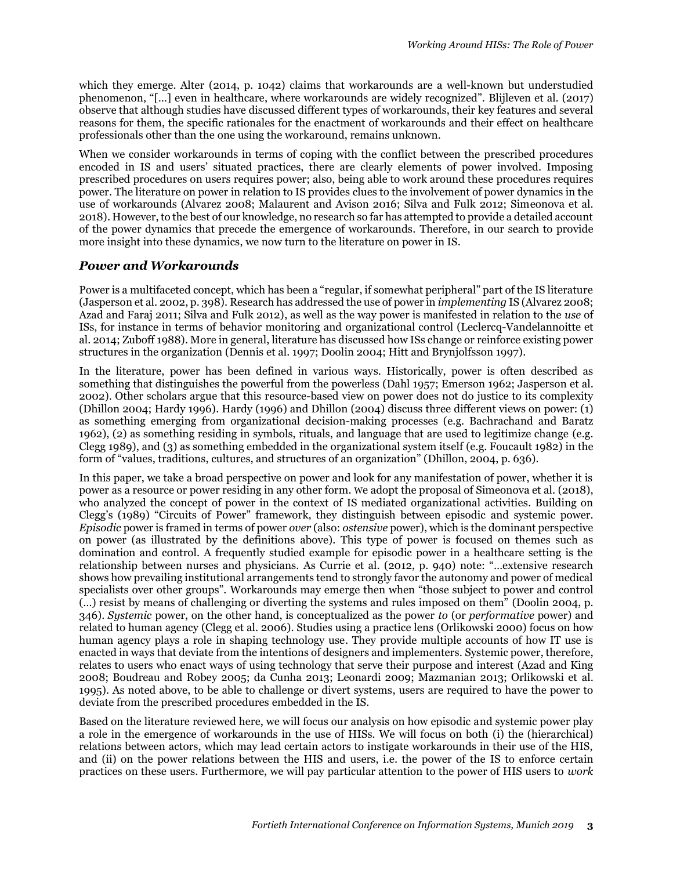which they emerge. Alter (2014, p. 1042) claims that workarounds are a well-known but understudied phenomenon, "[…] even in healthcare, where workarounds are widely recognized". Blijleven et al. (2017) observe that although studies have discussed different types of workarounds, their key features and several reasons for them, the specific rationales for the enactment of workarounds and their effect on healthcare professionals other than the one using the workaround, remains unknown.

When we consider workarounds in terms of coping with the conflict between the prescribed procedures encoded in IS and users' situated practices, there are clearly elements of power involved. Imposing prescribed procedures on users requires power; also, being able to work around these procedures requires power. The literature on power in relation to IS provides clues to the involvement of power dynamics in the use of workarounds (Alvarez 2008; Malaurent and Avison 2016; Silva and Fulk 2012; Simeonova et al. 2018). However, to the best of our knowledge, no research so far has attempted to provide a detailed account of the power dynamics that precede the emergence of workarounds. Therefore, in our search to provide more insight into these dynamics, we now turn to the literature on power in IS.

#### *Power and Workarounds*

Power is a multifaceted concept, which has been a "regular, if somewhat peripheral" part of the IS literature (Jasperson et al. 2002, p. 398). Research has addressed the use of power in *implementing* IS (Alvarez 2008; Azad and Faraj 2011; Silva and Fulk 2012), as well as the way power is manifested in relation to the *use* of ISs, for instance in terms of behavior monitoring and organizational control (Leclercq-Vandelannoitte et al. 2014; Zuboff 1988). More in general, literature has discussed how ISs change or reinforce existing power structures in the organization (Dennis et al. 1997; Doolin 2004; Hitt and Brynjolfsson 1997).

In the literature, power has been defined in various ways. Historically, power is often described as something that distinguishes the powerful from the powerless (Dahl 1957; Emerson 1962; Jasperson et al. 2002). Other scholars argue that this resource-based view on power does not do justice to its complexity (Dhillon 2004; Hardy 1996). Hardy (1996) and Dhillon (2004) discuss three different views on power: (1) as something emerging from organizational decision-making processes (e.g. Bachrachand and Baratz 1962), (2) as something residing in symbols, rituals, and language that are used to legitimize change (e.g. Clegg 1989), and (3) as something embedded in the organizational system itself (e.g. Foucault 1982) in the form of "values, traditions, cultures, and structures of an organization" (Dhillon, 2004, p. 636).

In this paper, we take a broad perspective on power and look for any manifestation of power, whether it is power as a resource or power residing in any other form. We adopt the proposal of Simeonova et al. (2018), who analyzed the concept of power in the context of IS mediated organizational activities. Building on Clegg's (1989) "Circuits of Power" framework, they distinguish between episodic and systemic power. *Episodic* power is framed in terms of power *over* (also: *ostensive* power), which is the dominant perspective on power (as illustrated by the definitions above). This type of power is focused on themes such as domination and control. A frequently studied example for episodic power in a healthcare setting is the relationship between nurses and physicians. As Currie et al. (2012, p. 940) note: "…extensive research shows how prevailing institutional arrangements tend to strongly favor the autonomy and power of medical specialists over other groups". Workarounds may emerge then when "those subject to power and control (…) resist by means of challenging or diverting the systems and rules imposed on them" (Doolin 2004, p. 346). *Systemic* power, on the other hand, is conceptualized as the power *to* (or *performative* power) and related to human agency (Clegg et al. 2006). Studies using a practice lens (Orlikowski 2000) focus on how human agency plays a role in shaping technology use. They provide multiple accounts of how IT use is enacted in ways that deviate from the intentions of designers and implementers. Systemic power, therefore, relates to users who enact ways of using technology that serve their purpose and interest (Azad and King 2008; Boudreau and Robey 2005; da Cunha 2013; Leonardi 2009; Mazmanian 2013; Orlikowski et al. 1995). As noted above, to be able to challenge or divert systems, users are required to have the power to deviate from the prescribed procedures embedded in the IS.

Based on the literature reviewed here, we will focus our analysis on how episodic and systemic power play a role in the emergence of workarounds in the use of HISs. We will focus on both (i) the (hierarchical) relations between actors, which may lead certain actors to instigate workarounds in their use of the HIS, and (ii) on the power relations between the HIS and users, i.e. the power of the IS to enforce certain practices on these users. Furthermore, we will pay particular attention to the power of HIS users to *work*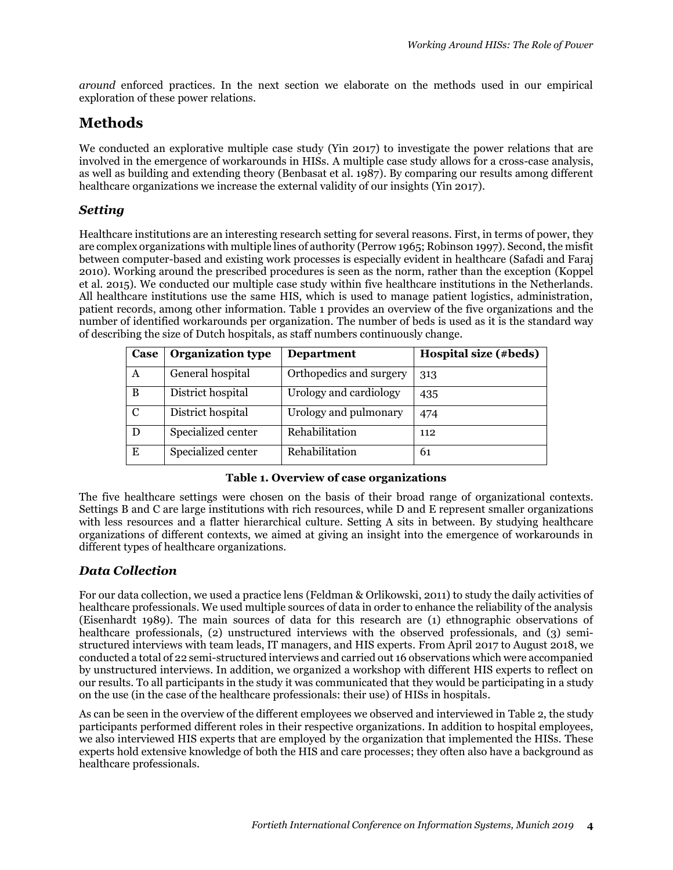*around* enforced practices. In the next section we elaborate on the methods used in our empirical exploration of these power relations.

# **Methods**

We conducted an explorative multiple case study (Yin 2017) to investigate the power relations that are involved in the emergence of workarounds in HISs. A multiple case study allows for a cross-case analysis, as well as building and extending theory (Benbasat et al. 1987). By comparing our results among different healthcare organizations we increase the external validity of our insights (Yin 2017).

### *Setting*

Healthcare institutions are an interesting research setting for several reasons. First, in terms of power, they are complex organizations with multiple lines of authority (Perrow 1965; Robinson 1997). Second, the misfit between computer-based and existing work processes is especially evident in healthcare (Safadi and Faraj 2010). Working around the prescribed procedures is seen as the norm, rather than the exception (Koppel et al. 2015). We conducted our multiple case study within five healthcare institutions in the Netherlands. All healthcare institutions use the same HIS, which is used to manage patient logistics, administration, patient records, among other information. Table 1 provides an overview of the five organizations and the number of identified workarounds per organization. The number of beds is used as it is the standard way of describing the size of Dutch hospitals, as staff numbers continuously change.

| Case          | <b>Organization type</b> | <b>Department</b>       | Hospital size (#beds) |
|---------------|--------------------------|-------------------------|-----------------------|
| A             | General hospital         | Orthopedics and surgery | 313                   |
| B             | District hospital        | Urology and cardiology  | 435                   |
| $\mathcal{C}$ | District hospital        | Urology and pulmonary   | 474                   |
| D             | Specialized center       | Rehabilitation          | 112                   |
| E             | Specialized center       | Rehabilitation          | 61                    |

#### **Table 1. Overview of case organizations**

The five healthcare settings were chosen on the basis of their broad range of organizational contexts. Settings B and C are large institutions with rich resources, while D and E represent smaller organizations with less resources and a flatter hierarchical culture. Setting A sits in between. By studying healthcare organizations of different contexts, we aimed at giving an insight into the emergence of workarounds in different types of healthcare organizations.

### *Data Collection*

For our data collection, we used a practice lens (Feldman & Orlikowski, 2011) to study the daily activities of healthcare professionals. We used multiple sources of data in order to enhance the reliability of the analysis (Eisenhardt 1989). The main sources of data for this research are (1) ethnographic observations of healthcare professionals, (2) unstructured interviews with the observed professionals, and (3) semistructured interviews with team leads, IT managers, and HIS experts. From April 2017 to August 2018, we conducted a total of 22 semi-structured interviews and carried out 16 observations which were accompanied by unstructured interviews. In addition, we organized a workshop with different HIS experts to reflect on our results. To all participants in the study it was communicated that they would be participating in a study on the use (in the case of the healthcare professionals: their use) of HISs in hospitals.

As can be seen in the overview of the different employees we observed and interviewed in Table 2, the study participants performed different roles in their respective organizations. In addition to hospital employees, we also interviewed HIS experts that are employed by the organization that implemented the HISs. These experts hold extensive knowledge of both the HIS and care processes; they often also have a background as healthcare professionals.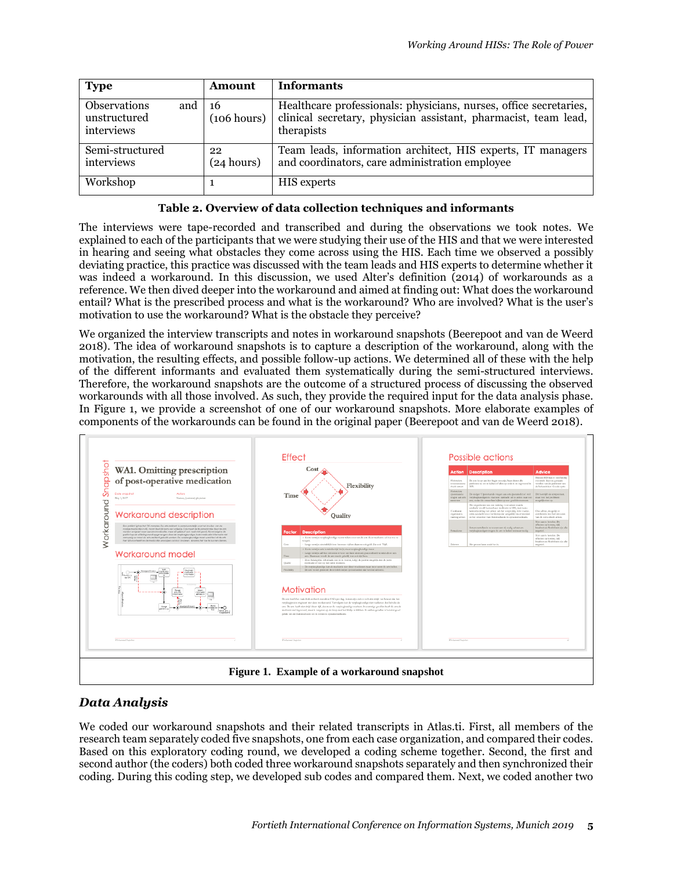| <b>Type</b>                                              | Amount            | <b>Informants</b>                                                                                                                                  |
|----------------------------------------------------------|-------------------|----------------------------------------------------------------------------------------------------------------------------------------------------|
| <b>Observations</b><br>and<br>unstructured<br>interviews | 16<br>(106 hours) | Healthcare professionals: physicians, nurses, office secretaries,<br>clinical secretary, physician assistant, pharmacist, team lead,<br>therapists |
| Semi-structured<br>interviews                            | 22<br>(24 hours)  | Team leads, information architect, HIS experts, IT managers<br>and coordinators, care administration employee                                      |
| Workshop                                                 |                   | HIS experts                                                                                                                                        |

#### **Table 2. Overview of data collection techniques and informants**

The interviews were tape-recorded and transcribed and during the observations we took notes. We explained to each of the participants that we were studying their use of the HIS and that we were interested in hearing and seeing what obstacles they come across using the HIS. Each time we observed a possibly deviating practice, this practice was discussed with the team leads and HIS experts to determine whether it was indeed a workaround. In this discussion, we used Alter's definition (2014) of workarounds as a reference. We then dived deeper into the workaround and aimed at finding out: What does the workaround entail? What is the prescribed process and what is the workaround? Who are involved? What is the user's motivation to use the workaround? What is the obstacle they perceive?

We organized the interview transcripts and notes in workaround snapshots (Beerepoot and van de Weerd 2018). The idea of workaround snapshots is to capture a description of the workaround, along with the motivation, the resulting effects, and possible follow-up actions. We determined all of these with the help of the different informants and evaluated them systematically during the semi-structured interviews. Therefore, the workaround snapshots are the outcome of a structured process of discussing the observed workarounds with all those involved. As such, they provide the required input for the data analysis phase. In Figure 1, we provide a screenshot of one of our workaround snapshots. More elaborate examples of components of the workarounds can be found in the original paper (Beerepoot and van de Weerd 2018).



### *Data Analysis*

We coded our workaround snapshots and their related transcripts in Atlas.ti. First, all members of the research team separately coded five snapshots, one from each case organization, and compared their codes. Based on this exploratory coding round, we developed a coding scheme together. Second, the first and second author (the coders) both coded three workaround snapshots separately and then synchronized their coding. During this coding step, we developed sub codes and compared them. Next, we coded another two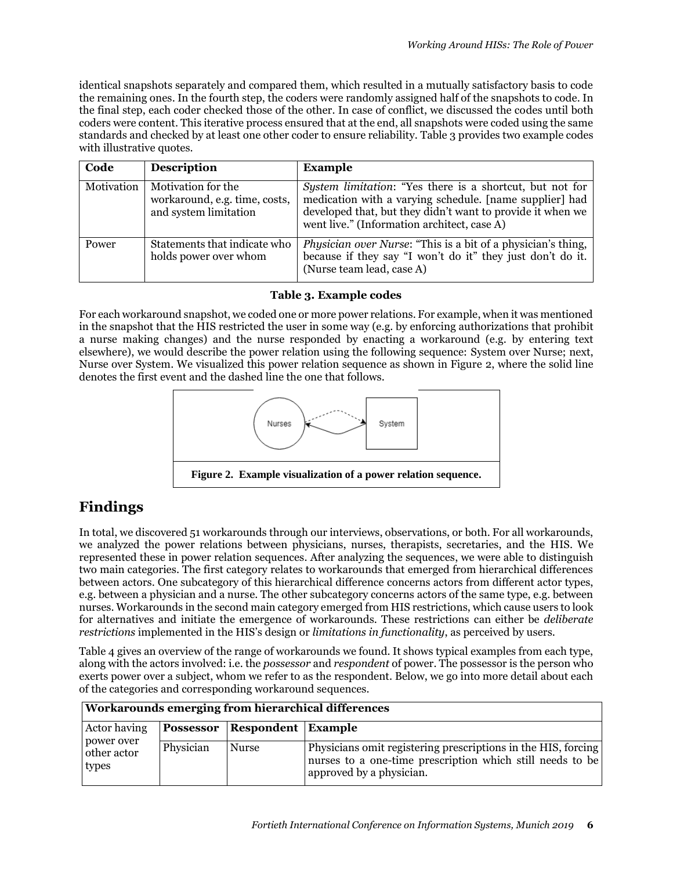identical snapshots separately and compared them, which resulted in a mutually satisfactory basis to code the remaining ones. In the fourth step, the coders were randomly assigned half of the snapshots to code. In the final step, each coder checked those of the other. In case of conflict, we discussed the codes until both coders were content. This iterative process ensured that at the end, all snapshots were coded using the same standards and checked by at least one other coder to ensure reliability. Table 3 provides two example codes with illustrative quotes.

| Code       | <b>Description</b>                                                           | <b>Example</b>                                                                                                                                                                                                                   |
|------------|------------------------------------------------------------------------------|----------------------------------------------------------------------------------------------------------------------------------------------------------------------------------------------------------------------------------|
| Motivation | Motivation for the<br>workaround, e.g. time, costs,<br>and system limitation | System limitation: "Yes there is a shortcut, but not for<br>medication with a varying schedule. [name supplier] had<br>developed that, but they didn't want to provide it when we<br>went live." (Information architect, case A) |
| Power      | Statements that indicate who<br>holds power over whom                        | <i>Physician over Nurse:</i> "This is a bit of a physician's thing,<br>because if they say "I won't do it" they just don't do it.<br>(Nurse team lead, case A)                                                                   |

#### **Table 3. Example codes**

For each workaround snapshot, we coded one or more power relations. For example, when it was mentioned in the snapshot that the HIS restricted the user in some way (e.g. by enforcing authorizations that prohibit a nurse making changes) and the nurse responded by enacting a workaround (e.g. by entering text elsewhere), we would describe the power relation using the following sequence: System over Nurse; next, Nurse over System. We visualized this power relation sequence as shown in Figure 2, where the solid line denotes the first event and the dashed line the one that follows.



# **Findings**

In total, we discovered 51 workarounds through our interviews, observations, or both. For all workarounds, we analyzed the power relations between physicians, nurses, therapists, secretaries, and the HIS. We represented these in power relation sequences. After analyzing the sequences, we were able to distinguish two main categories. The first category relates to workarounds that emerged from hierarchical differences between actors. One subcategory of this hierarchical difference concerns actors from different actor types, e.g. between a physician and a nurse. The other subcategory concerns actors of the same type, e.g. between nurses. Workarounds in the second main category emerged from HIS restrictions, which cause users to look for alternatives and initiate the emergence of workarounds. These restrictions can either be *deliberate restrictions* implemented in the HIS's design or *limitations in functionality*, as perceived by users.

Table 4 gives an overview of the range of workarounds we found. It shows typical examples from each type, along with the actors involved: i.e. the *possessor* and *respondent* of power. The possessor is the person who exerts power over a subject, whom we refer to as the respondent. Below, we go into more detail about each of the categories and corresponding workaround sequences.

| Workarounds emerging from hierarchical differences |           |                                  |                                                                                                                                                        |
|----------------------------------------------------|-----------|----------------------------------|--------------------------------------------------------------------------------------------------------------------------------------------------------|
| Actor having                                       |           | Possessor   Respondent   Example |                                                                                                                                                        |
| power over<br>other actor<br>types                 | Physician | <b>Nurse</b>                     | Physicians omit registering prescriptions in the HIS, forcing<br>nurses to a one-time prescription which still needs to be<br>approved by a physician. |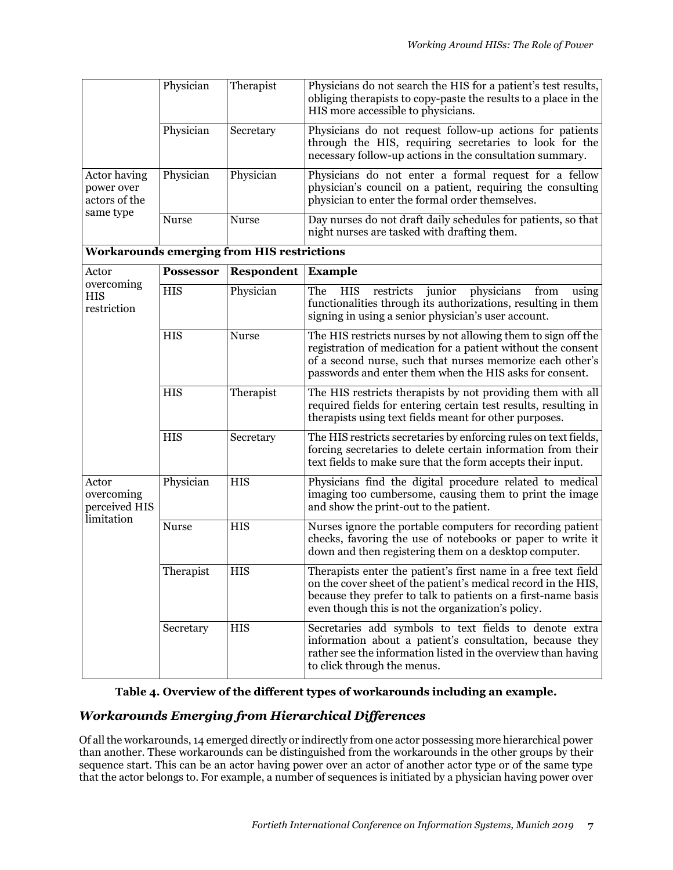|                                             | Physician        | Therapist                                         | Physicians do not search the HIS for a patient's test results,<br>obliging therapists to copy-paste the results to a place in the<br>HIS more accessible to physicians.                                                                                 |
|---------------------------------------------|------------------|---------------------------------------------------|---------------------------------------------------------------------------------------------------------------------------------------------------------------------------------------------------------------------------------------------------------|
|                                             | Physician        | Secretary                                         | Physicians do not request follow-up actions for patients<br>through the HIS, requiring secretaries to look for the<br>necessary follow-up actions in the consultation summary.                                                                          |
| Actor having<br>power over<br>actors of the | Physician        | Physician                                         | Physicians do not enter a formal request for a fellow<br>physician's council on a patient, requiring the consulting<br>physician to enter the formal order themselves.                                                                                  |
| same type                                   | Nurse            | <b>Nurse</b>                                      | Day nurses do not draft daily schedules for patients, so that<br>night nurses are tasked with drafting them.                                                                                                                                            |
|                                             |                  | <b>Workarounds emerging from HIS restrictions</b> |                                                                                                                                                                                                                                                         |
| Actor                                       | <b>Possessor</b> | Respondent                                        | <b>Example</b>                                                                                                                                                                                                                                          |
| overcoming<br><b>HIS</b><br>restriction     | <b>HIS</b>       | Physician                                         | The<br>restricts<br>junior<br>physicians<br>from<br>HIS<br>using<br>functionalities through its authorizations, resulting in them<br>signing in using a senior physician's user account.                                                                |
|                                             | <b>HIS</b>       | <b>Nurse</b>                                      | The HIS restricts nurses by not allowing them to sign off the<br>registration of medication for a patient without the consent<br>of a second nurse, such that nurses memorize each other's<br>passwords and enter them when the HIS asks for consent.   |
|                                             | <b>HIS</b>       | Therapist                                         | The HIS restricts therapists by not providing them with all<br>required fields for entering certain test results, resulting in<br>therapists using text fields meant for other purposes.                                                                |
|                                             | <b>HIS</b>       | Secretary                                         | The HIS restricts secretaries by enforcing rules on text fields,<br>forcing secretaries to delete certain information from their<br>text fields to make sure that the form accepts their input.                                                         |
| Actor<br>overcoming<br>perceived HIS        | Physician        | <b>HIS</b>                                        | Physicians find the digital procedure related to medical<br>imaging too cumbersome, causing them to print the image<br>and show the print-out to the patient.                                                                                           |
| limitation                                  | <b>Nurse</b>     | <b>HIS</b>                                        | Nurses ignore the portable computers for recording patient<br>checks, favoring the use of notebooks or paper to write it<br>down and then registering them on a desktop computer.                                                                       |
|                                             | Therapist        | <b>HIS</b>                                        | Therapists enter the patient's first name in a free text field<br>on the cover sheet of the patient's medical record in the HIS,<br>because they prefer to talk to patients on a first-name basis<br>even though this is not the organization's policy. |
|                                             | Secretary        | <b>HIS</b>                                        | Secretaries add symbols to text fields to denote extra<br>information about a patient's consultation, because they<br>rather see the information listed in the overview than having<br>to click through the menus.                                      |

#### **Table 4. Overview of the different types of workarounds including an example.**

### *Workarounds Emerging from Hierarchical Differences*

Of all the workarounds, 14 emerged directly or indirectly from one actor possessing more hierarchical power than another. These workarounds can be distinguished from the workarounds in the other groups by their sequence start. This can be an actor having power over an actor of another actor type or of the same type that the actor belongs to. For example, a number of sequences is initiated by a physician having power over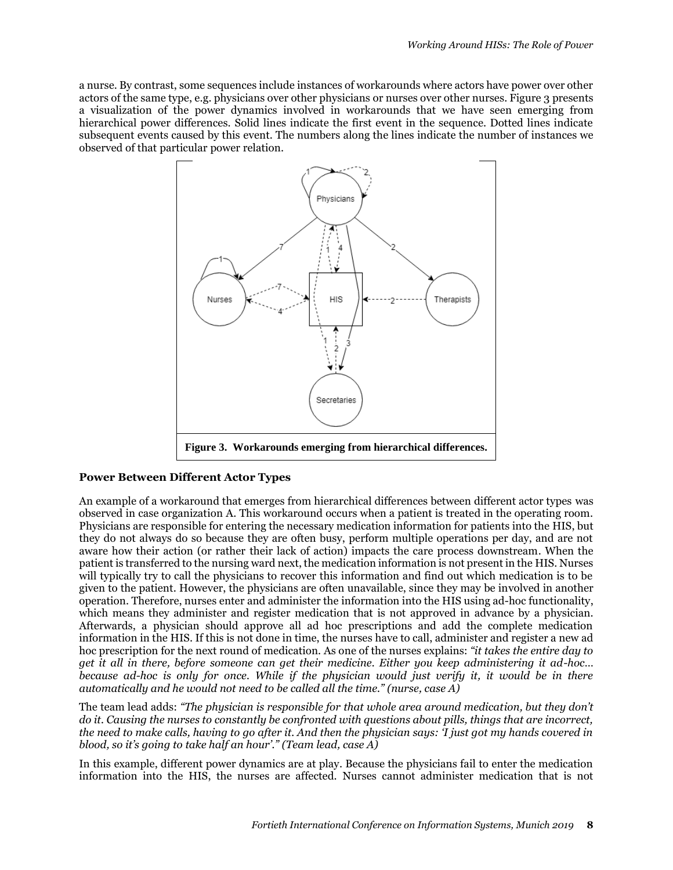a nurse. By contrast, some sequences include instances of workarounds where actors have power over other actors of the same type, e.g. physicians over other physicians or nurses over other nurses. Figure 3 presents a visualization of the power dynamics involved in workarounds that we have seen emerging from hierarchical power differences. Solid lines indicate the first event in the sequence. Dotted lines indicate subsequent events caused by this event. The numbers along the lines indicate the number of instances we observed of that particular power relation.



#### **Power Between Different Actor Types**

An example of a workaround that emerges from hierarchical differences between different actor types was observed in case organization A. This workaround occurs when a patient is treated in the operating room. Physicians are responsible for entering the necessary medication information for patients into the HIS, but they do not always do so because they are often busy, perform multiple operations per day, and are not aware how their action (or rather their lack of action) impacts the care process downstream. When the patient is transferred to the nursing ward next, the medication information is not present in the HIS. Nurses will typically try to call the physicians to recover this information and find out which medication is to be given to the patient. However, the physicians are often unavailable, since they may be involved in another operation. Therefore, nurses enter and administer the information into the HIS using ad-hoc functionality, which means they administer and register medication that is not approved in advance by a physician. Afterwards, a physician should approve all ad hoc prescriptions and add the complete medication information in the HIS. If this is not done in time, the nurses have to call, administer and register a new ad hoc prescription for the next round of medication. As one of the nurses explains: *"it takes the entire day to get it all in there, before someone can get their medicine. Either you keep administering it ad-hoc… because ad-hoc is only for once. While if the physician would just verify it, it would be in there automatically and he would not need to be called all the time." (nurse, case A)*

The team lead adds: *"The physician is responsible for that whole area around medication, but they don't do it. Causing the nurses to constantly be confronted with questions about pills, things that are incorrect, the need to make calls, having to go after it. And then the physician says: 'I just got my hands covered in blood, so it's going to take half an hour'." (Team lead, case A)*

In this example, different power dynamics are at play. Because the physicians fail to enter the medication information into the HIS, the nurses are affected. Nurses cannot administer medication that is not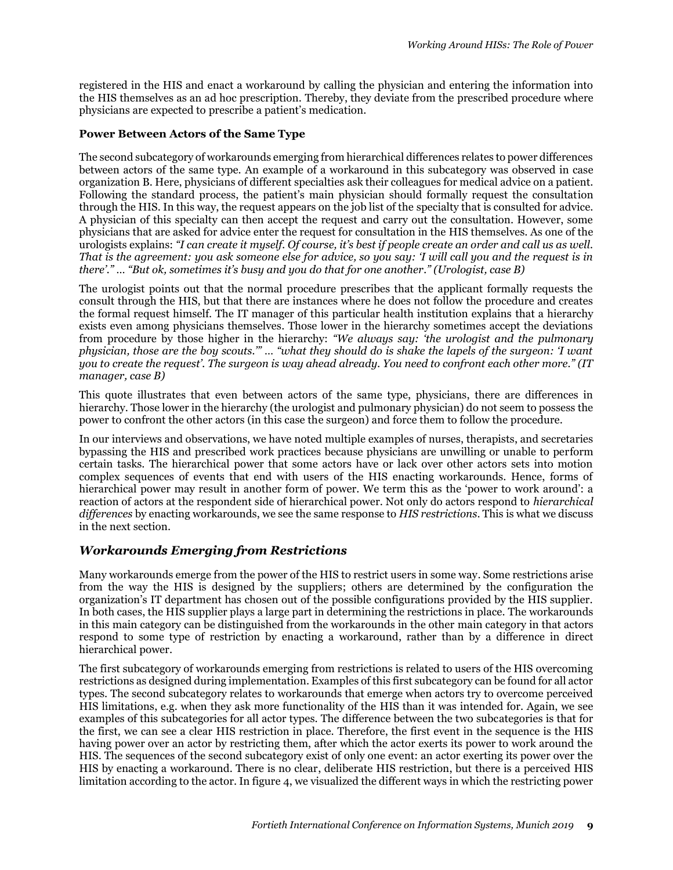registered in the HIS and enact a workaround by calling the physician and entering the information into the HIS themselves as an ad hoc prescription. Thereby, they deviate from the prescribed procedure where physicians are expected to prescribe a patient's medication.

#### **Power Between Actors of the Same Type**

The second subcategory of workarounds emerging from hierarchical differences relates to power differences between actors of the same type. An example of a workaround in this subcategory was observed in case organization B. Here, physicians of different specialties ask their colleagues for medical advice on a patient. Following the standard process, the patient's main physician should formally request the consultation through the HIS. In this way, the request appears on the job list of the specialty that is consulted for advice. A physician of this specialty can then accept the request and carry out the consultation. However, some physicians that are asked for advice enter the request for consultation in the HIS themselves. As one of the urologists explains: *"I can create it myself. Of course, it's best if people create an order and call us as well. That is the agreement: you ask someone else for advice, so you say: 'I will call you and the request is in there'." … "But ok, sometimes it's busy and you do that for one another." (Urologist, case B)*

The urologist points out that the normal procedure prescribes that the applicant formally requests the consult through the HIS, but that there are instances where he does not follow the procedure and creates the formal request himself. The IT manager of this particular health institution explains that a hierarchy exists even among physicians themselves. Those lower in the hierarchy sometimes accept the deviations from procedure by those higher in the hierarchy: *"We always say: 'the urologist and the pulmonary physician, those are the boy scouts.'" … "what they should do is shake the lapels of the surgeon: 'I want you to create the request'. The surgeon is way ahead already. You need to confront each other more." (IT manager, case B)*

This quote illustrates that even between actors of the same type, physicians, there are differences in hierarchy. Those lower in the hierarchy (the urologist and pulmonary physician) do not seem to possess the power to confront the other actors (in this case the surgeon) and force them to follow the procedure.

In our interviews and observations, we have noted multiple examples of nurses, therapists, and secretaries bypassing the HIS and prescribed work practices because physicians are unwilling or unable to perform certain tasks. The hierarchical power that some actors have or lack over other actors sets into motion complex sequences of events that end with users of the HIS enacting workarounds. Hence, forms of hierarchical power may result in another form of power. We term this as the 'power to work around': a reaction of actors at the respondent side of hierarchical power. Not only do actors respond to *hierarchical differences* by enacting workarounds, we see the same response to *HIS restrictions*. This is what we discuss in the next section.

#### *Workarounds Emerging from Restrictions*

Many workarounds emerge from the power of the HIS to restrict users in some way. Some restrictions arise from the way the HIS is designed by the suppliers; others are determined by the configuration the organization's IT department has chosen out of the possible configurations provided by the HIS supplier. In both cases, the HIS supplier plays a large part in determining the restrictions in place. The workarounds in this main category can be distinguished from the workarounds in the other main category in that actors respond to some type of restriction by enacting a workaround, rather than by a difference in direct hierarchical power.

The first subcategory of workarounds emerging from restrictions is related to users of the HIS overcoming restrictions as designed during implementation. Examples of this first subcategory can be found for all actor types. The second subcategory relates to workarounds that emerge when actors try to overcome perceived HIS limitations, e.g. when they ask more functionality of the HIS than it was intended for. Again, we see examples of this subcategories for all actor types. The difference between the two subcategories is that for the first, we can see a clear HIS restriction in place. Therefore, the first event in the sequence is the HIS having power over an actor by restricting them, after which the actor exerts its power to work around the HIS. The sequences of the second subcategory exist of only one event: an actor exerting its power over the HIS by enacting a workaround. There is no clear, deliberate HIS restriction, but there is a perceived HIS limitation according to the actor. In figure 4, we visualized the different ways in which the restricting power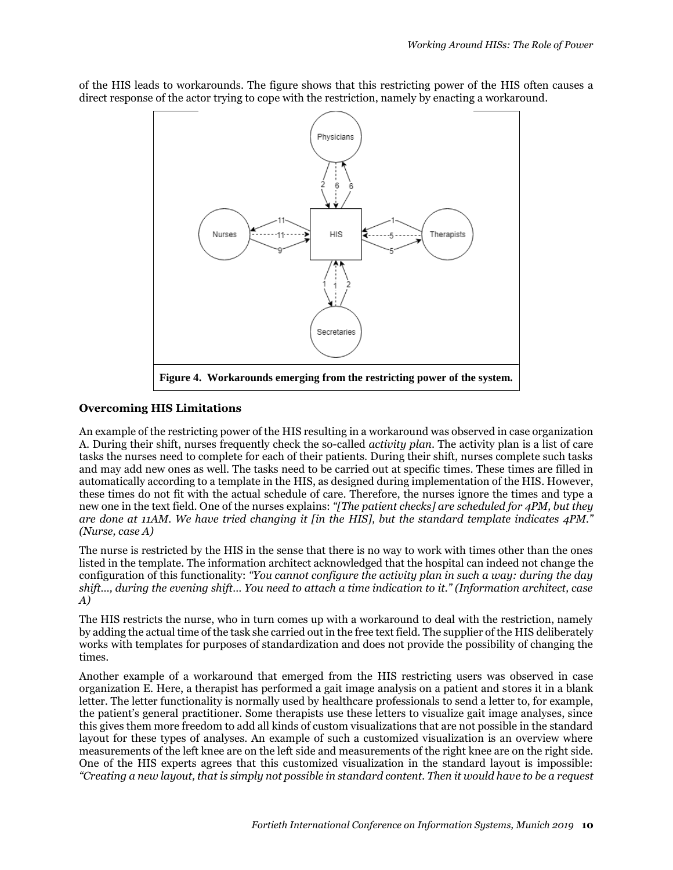of the HIS leads to workarounds. The figure shows that this restricting power of the HIS often causes a direct response of the actor trying to cope with the restriction, namely by enacting a workaround.



#### **Overcoming HIS Limitations**

An example of the restricting power of the HIS resulting in a workaround was observed in case organization A. During their shift, nurses frequently check the so-called *activity plan*. The activity plan is a list of care tasks the nurses need to complete for each of their patients. During their shift, nurses complete such tasks and may add new ones as well. The tasks need to be carried out at specific times. These times are filled in automatically according to a template in the HIS, as designed during implementation of the HIS. However, these times do not fit with the actual schedule of care. Therefore, the nurses ignore the times and type a new one in the text field. One of the nurses explains: *"[The patient checks] are scheduled for 4PM, but they are done at 11AM. We have tried changing it [in the HIS], but the standard template indicates 4PM." (Nurse, case A)*

The nurse is restricted by the HIS in the sense that there is no way to work with times other than the ones listed in the template. The information architect acknowledged that the hospital can indeed not change the configuration of this functionality: *"You cannot configure the activity plan in such a way: during the day shift…, during the evening shift… You need to attach a time indication to it." (Information architect, case A)*

The HIS restricts the nurse, who in turn comes up with a workaround to deal with the restriction, namely by adding the actual time of the task she carried out in the free text field. The supplier of the HIS deliberately works with templates for purposes of standardization and does not provide the possibility of changing the times.

Another example of a workaround that emerged from the HIS restricting users was observed in case organization E. Here, a therapist has performed a gait image analysis on a patient and stores it in a blank letter. The letter functionality is normally used by healthcare professionals to send a letter to, for example, the patient's general practitioner. Some therapists use these letters to visualize gait image analyses, since this gives them more freedom to add all kinds of custom visualizations that are not possible in the standard layout for these types of analyses. An example of such a customized visualization is an overview where measurements of the left knee are on the left side and measurements of the right knee are on the right side. One of the HIS experts agrees that this customized visualization in the standard layout is impossible: *"Creating a new layout, that is simply not possible in standard content. Then it would have to be a request*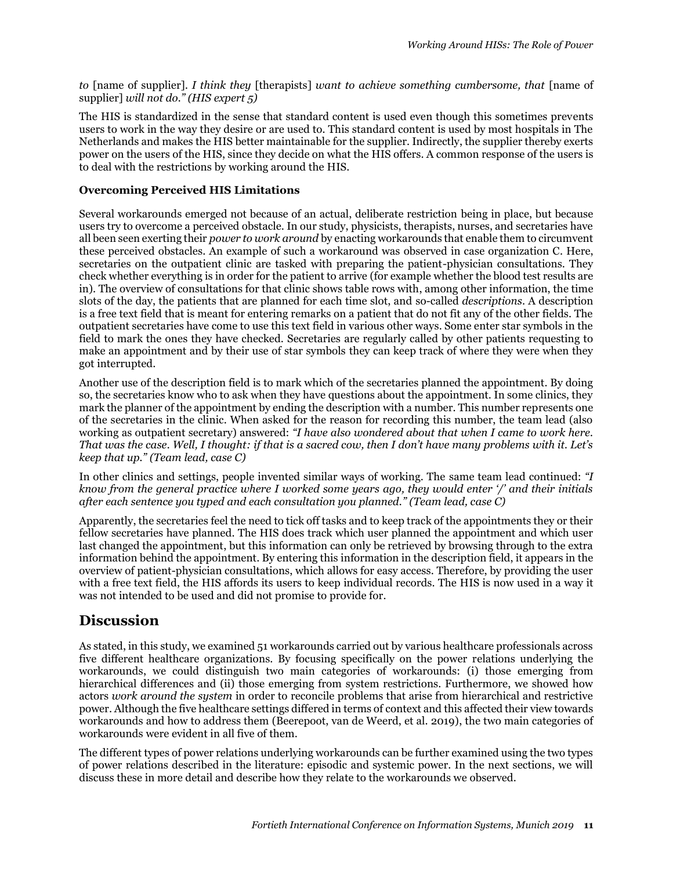*to* [name of supplier]*. I think they* [therapists] *want to achieve something cumbersome, that* [name of supplier] *will not do." (HIS expert 5)*

The HIS is standardized in the sense that standard content is used even though this sometimes prevents users to work in the way they desire or are used to. This standard content is used by most hospitals in The Netherlands and makes the HIS better maintainable for the supplier. Indirectly, the supplier thereby exerts power on the users of the HIS, since they decide on what the HIS offers. A common response of the users is to deal with the restrictions by working around the HIS.

#### **Overcoming Perceived HIS Limitations**

Several workarounds emerged not because of an actual, deliberate restriction being in place, but because users try to overcome a perceived obstacle. In our study, physicists, therapists, nurses, and secretaries have all been seen exerting their *power to work around* by enacting workarounds that enable them to circumvent these perceived obstacles. An example of such a workaround was observed in case organization C. Here, secretaries on the outpatient clinic are tasked with preparing the patient-physician consultations. They check whether everything is in order for the patient to arrive (for example whether the blood test results are in). The overview of consultations for that clinic shows table rows with, among other information, the time slots of the day, the patients that are planned for each time slot, and so-called *descriptions*. A description is a free text field that is meant for entering remarks on a patient that do not fit any of the other fields. The outpatient secretaries have come to use this text field in various other ways. Some enter star symbols in the field to mark the ones they have checked. Secretaries are regularly called by other patients requesting to make an appointment and by their use of star symbols they can keep track of where they were when they got interrupted.

Another use of the description field is to mark which of the secretaries planned the appointment. By doing so, the secretaries know who to ask when they have questions about the appointment. In some clinics, they mark the planner of the appointment by ending the description with a number. This number represents one of the secretaries in the clinic. When asked for the reason for recording this number, the team lead (also working as outpatient secretary) answered: *"I have also wondered about that when I came to work here. That was the case. Well, I thought: if that is a sacred cow, then I don't have many problems with it. Let's keep that up." (Team lead, case C)*

In other clinics and settings, people invented similar ways of working. The same team lead continued: *"I know from the general practice where I worked some years ago, they would enter '/' and their initials after each sentence you typed and each consultation you planned." (Team lead, case C)*

Apparently, the secretaries feel the need to tick off tasks and to keep track of the appointments they or their fellow secretaries have planned. The HIS does track which user planned the appointment and which user last changed the appointment, but this information can only be retrieved by browsing through to the extra information behind the appointment. By entering this information in the description field, it appears in the overview of patient-physician consultations, which allows for easy access. Therefore, by providing the user with a free text field, the HIS affords its users to keep individual records. The HIS is now used in a way it was not intended to be used and did not promise to provide for.

### **Discussion**

As stated, in this study, we examined 51 workarounds carried out by various healthcare professionals across five different healthcare organizations. By focusing specifically on the power relations underlying the workarounds, we could distinguish two main categories of workarounds: (i) those emerging from hierarchical differences and (ii) those emerging from system restrictions. Furthermore, we showed how actors *work around the system* in order to reconcile problems that arise from hierarchical and restrictive power. Although the five healthcare settings differed in terms of context and this affected their view towards workarounds and how to address them (Beerepoot, van de Weerd, et al. 2019), the two main categories of workarounds were evident in all five of them.

The different types of power relations underlying workarounds can be further examined using the two types of power relations described in the literature: episodic and systemic power. In the next sections, we will discuss these in more detail and describe how they relate to the workarounds we observed.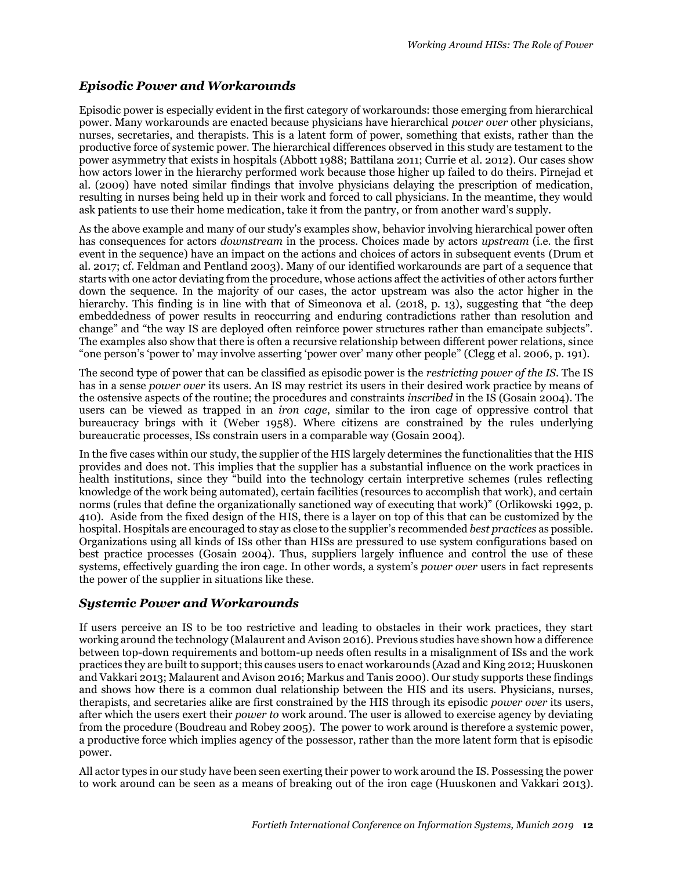### *Episodic Power and Workarounds*

Episodic power is especially evident in the first category of workarounds: those emerging from hierarchical power. Many workarounds are enacted because physicians have hierarchical *power over* other physicians, nurses, secretaries, and therapists. This is a latent form of power, something that exists, rather than the productive force of systemic power. The hierarchical differences observed in this study are testament to the power asymmetry that exists in hospitals (Abbott 1988; Battilana 2011; Currie et al. 2012). Our cases show how actors lower in the hierarchy performed work because those higher up failed to do theirs. Pirnejad et al. (2009) have noted similar findings that involve physicians delaying the prescription of medication, resulting in nurses being held up in their work and forced to call physicians. In the meantime, they would ask patients to use their home medication, take it from the pantry, or from another ward's supply.

As the above example and many of our study's examples show, behavior involving hierarchical power often has consequences for actors *downstream* in the process. Choices made by actors *upstream* (i.e. the first event in the sequence) have an impact on the actions and choices of actors in subsequent events (Drum et al. 2017; cf. Feldman and Pentland 2003). Many of our identified workarounds are part of a sequence that starts with one actor deviating from the procedure, whose actions affect the activities of other actors further down the sequence. In the majority of our cases, the actor upstream was also the actor higher in the hierarchy. This finding is in line with that of Simeonova et al. (2018, p. 13), suggesting that "the deep embeddedness of power results in reoccurring and enduring contradictions rather than resolution and change" and "the way IS are deployed often reinforce power structures rather than emancipate subjects". The examples also show that there is often a recursive relationship between different power relations, since "one person's 'power to' may involve asserting 'power over' many other people" (Clegg et al. 2006, p. 191).

The second type of power that can be classified as episodic power is the *restricting power of the IS*. The IS has in a sense *power over* its users. An IS may restrict its users in their desired work practice by means of the ostensive aspects of the routine; the procedures and constraints *inscribed* in the IS (Gosain 2004). The users can be viewed as trapped in an *iron cage*, similar to the iron cage of oppressive control that bureaucracy brings with it (Weber 1958). Where citizens are constrained by the rules underlying bureaucratic processes, ISs constrain users in a comparable way (Gosain 2004).

In the five cases within our study, the supplier of the HIS largely determines the functionalities that the HIS provides and does not. This implies that the supplier has a substantial influence on the work practices in health institutions, since they "build into the technology certain interpretive schemes (rules reflecting knowledge of the work being automated), certain facilities (resources to accomplish that work), and certain norms (rules that define the organizationally sanctioned way of executing that work)" (Orlikowski 1992, p. 410). Aside from the fixed design of the HIS, there is a layer on top of this that can be customized by the hospital. Hospitals are encouraged to stay as close to the supplier's recommended *best practices* as possible. Organizations using all kinds of ISs other than HISs are pressured to use system configurations based on best practice processes (Gosain 2004). Thus, suppliers largely influence and control the use of these systems, effectively guarding the iron cage. In other words, a system's *power over* users in fact represents the power of the supplier in situations like these.

### *Systemic Power and Workarounds*

If users perceive an IS to be too restrictive and leading to obstacles in their work practices, they start working around the technology (Malaurent and Avison 2016). Previous studies have shown how a difference between top-down requirements and bottom-up needs often results in a misalignment of ISs and the work practices they are built to support; this causes users to enact workarounds (Azad and King 2012; Huuskonen and Vakkari 2013; Malaurent and Avison 2016; Markus and Tanis 2000). Our study supports these findings and shows how there is a common dual relationship between the HIS and its users. Physicians, nurses, therapists, and secretaries alike are first constrained by the HIS through its episodic *power over* its users, after which the users exert their *power to* work around. The user is allowed to exercise agency by deviating from the procedure (Boudreau and Robey 2005). The power to work around is therefore a systemic power, a productive force which implies agency of the possessor, rather than the more latent form that is episodic power.

All actor types in our study have been seen exerting their power to work around the IS. Possessing the power to work around can be seen as a means of breaking out of the iron cage (Huuskonen and Vakkari 2013).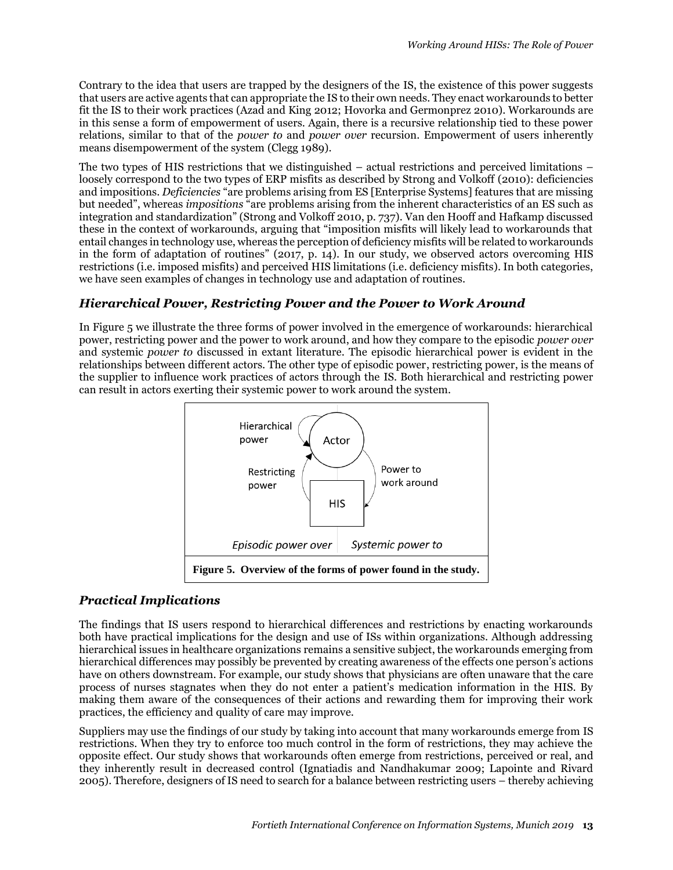Contrary to the idea that users are trapped by the designers of the IS, the existence of this power suggests that users are active agents that can appropriate the IS to their own needs. They enact workarounds to better fit the IS to their work practices (Azad and King 2012; Hovorka and Germonprez 2010). Workarounds are in this sense a form of empowerment of users. Again, there is a recursive relationship tied to these power relations, similar to that of the *power to* and *power over* recursion. Empowerment of users inherently means disempowerment of the system (Clegg 1989).

The two types of HIS restrictions that we distinguished – actual restrictions and perceived limitations – loosely correspond to the two types of ERP misfits as described by Strong and Volkoff (2010): deficiencies and impositions. *Deficiencies* "are problems arising from ES [Enterprise Systems] features that are missing but needed", whereas *impositions* "are problems arising from the inherent characteristics of an ES such as integration and standardization" (Strong and Volkoff 2010, p. 737). Van den Hooff and Hafkamp discussed these in the context of workarounds, arguing that "imposition misfits will likely lead to workarounds that entail changes in technology use, whereas the perception of deficiency misfits will be related to workarounds in the form of adaptation of routines" (2017, p. 14). In our study, we observed actors overcoming HIS restrictions (i.e. imposed misfits) and perceived HIS limitations (i.e. deficiency misfits). In both categories, we have seen examples of changes in technology use and adaptation of routines.

### *Hierarchical Power, Restricting Power and the Power to Work Around*

In Figure 5 we illustrate the three forms of power involved in the emergence of workarounds: hierarchical power, restricting power and the power to work around, and how they compare to the episodic *power over* and systemic *power to* discussed in extant literature. The episodic hierarchical power is evident in the relationships between different actors. The other type of episodic power, restricting power, is the means of the supplier to influence work practices of actors through the IS. Both hierarchical and restricting power can result in actors exerting their systemic power to work around the system.



### *Practical Implications*

The findings that IS users respond to hierarchical differences and restrictions by enacting workarounds both have practical implications for the design and use of ISs within organizations. Although addressing hierarchical issues in healthcare organizations remains a sensitive subject, the workarounds emerging from hierarchical differences may possibly be prevented by creating awareness of the effects one person's actions have on others downstream. For example, our study shows that physicians are often unaware that the care process of nurses stagnates when they do not enter a patient's medication information in the HIS. By making them aware of the consequences of their actions and rewarding them for improving their work practices, the efficiency and quality of care may improve.

Suppliers may use the findings of our study by taking into account that many workarounds emerge from IS restrictions. When they try to enforce too much control in the form of restrictions, they may achieve the opposite effect. Our study shows that workarounds often emerge from restrictions, perceived or real, and they inherently result in decreased control (Ignatiadis and Nandhakumar 2009; Lapointe and Rivard 2005). Therefore, designers of IS need to search for a balance between restricting users – thereby achieving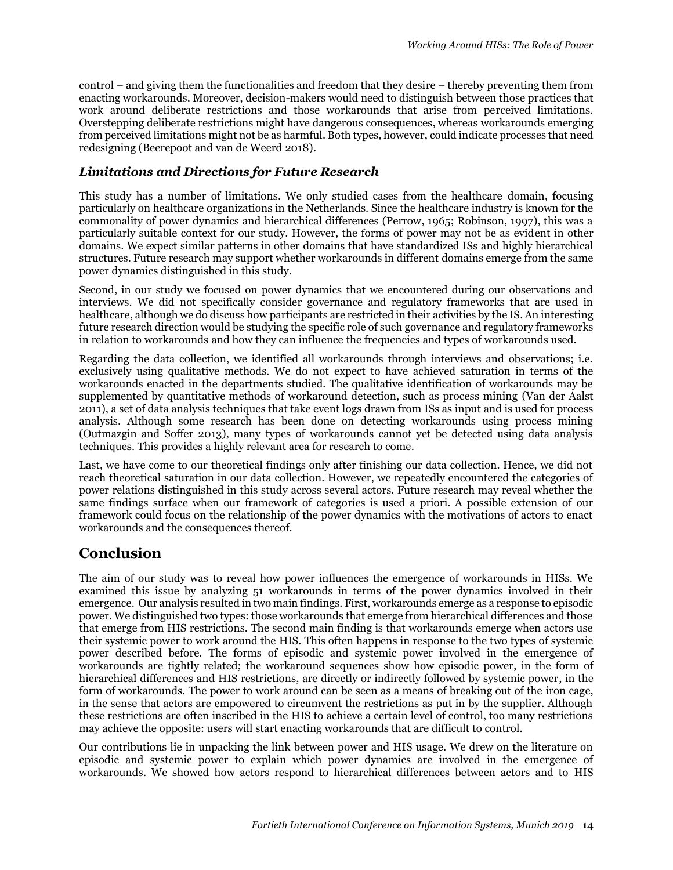control – and giving them the functionalities and freedom that they desire – thereby preventing them from enacting workarounds. Moreover, decision-makers would need to distinguish between those practices that work around deliberate restrictions and those workarounds that arise from perceived limitations. Overstepping deliberate restrictions might have dangerous consequences, whereas workarounds emerging from perceived limitations might not be as harmful. Both types, however, could indicate processes that need redesigning (Beerepoot and van de Weerd 2018).

#### *Limitations and Directions for Future Research*

This study has a number of limitations. We only studied cases from the healthcare domain, focusing particularly on healthcare organizations in the Netherlands. Since the healthcare industry is known for the commonality of power dynamics and hierarchical differences (Perrow, 1965; Robinson, 1997), this was a particularly suitable context for our study. However, the forms of power may not be as evident in other domains. We expect similar patterns in other domains that have standardized ISs and highly hierarchical structures. Future research may support whether workarounds in different domains emerge from the same power dynamics distinguished in this study.

Second, in our study we focused on power dynamics that we encountered during our observations and interviews. We did not specifically consider governance and regulatory frameworks that are used in healthcare, although we do discuss how participants are restricted in their activities by the IS. An interesting future research direction would be studying the specific role of such governance and regulatory frameworks in relation to workarounds and how they can influence the frequencies and types of workarounds used.

Regarding the data collection, we identified all workarounds through interviews and observations; i.e. exclusively using qualitative methods. We do not expect to have achieved saturation in terms of the workarounds enacted in the departments studied. The qualitative identification of workarounds may be supplemented by quantitative methods of workaround detection, such as process mining (Van der Aalst 2011), a set of data analysis techniques that take event logs drawn from ISs as input and is used for process analysis. Although some research has been done on detecting workarounds using process mining (Outmazgin and Soffer 2013), many types of workarounds cannot yet be detected using data analysis techniques. This provides a highly relevant area for research to come.

Last, we have come to our theoretical findings only after finishing our data collection. Hence, we did not reach theoretical saturation in our data collection. However, we repeatedly encountered the categories of power relations distinguished in this study across several actors. Future research may reveal whether the same findings surface when our framework of categories is used a priori. A possible extension of our framework could focus on the relationship of the power dynamics with the motivations of actors to enact workarounds and the consequences thereof.

### **Conclusion**

The aim of our study was to reveal how power influences the emergence of workarounds in HISs. We examined this issue by analyzing 51 workarounds in terms of the power dynamics involved in their emergence. Our analysis resulted in two main findings. First, workarounds emerge as a response to episodic power. We distinguished two types: those workarounds that emerge from hierarchical differences and those that emerge from HIS restrictions. The second main finding is that workarounds emerge when actors use their systemic power to work around the HIS. This often happens in response to the two types of systemic power described before. The forms of episodic and systemic power involved in the emergence of workarounds are tightly related; the workaround sequences show how episodic power, in the form of hierarchical differences and HIS restrictions, are directly or indirectly followed by systemic power, in the form of workarounds. The power to work around can be seen as a means of breaking out of the iron cage, in the sense that actors are empowered to circumvent the restrictions as put in by the supplier. Although these restrictions are often inscribed in the HIS to achieve a certain level of control, too many restrictions may achieve the opposite: users will start enacting workarounds that are difficult to control.

Our contributions lie in unpacking the link between power and HIS usage. We drew on the literature on episodic and systemic power to explain which power dynamics are involved in the emergence of workarounds. We showed how actors respond to hierarchical differences between actors and to HIS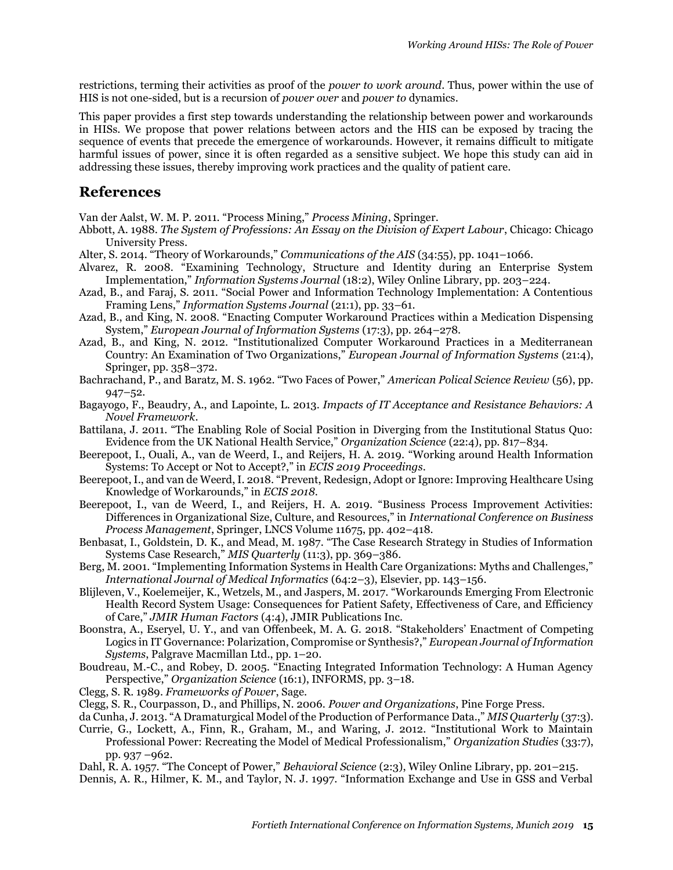restrictions, terming their activities as proof of the *power to work around*. Thus, power within the use of HIS is not one-sided, but is a recursion of *power over* and *power to* dynamics.

This paper provides a first step towards understanding the relationship between power and workarounds in HISs. We propose that power relations between actors and the HIS can be exposed by tracing the sequence of events that precede the emergence of workarounds. However, it remains difficult to mitigate harmful issues of power, since it is often regarded as a sensitive subject. We hope this study can aid in addressing these issues, thereby improving work practices and the quality of patient care.

### **References**

Van der Aalst, W. M. P. 2011. "Process Mining," *Process Mining*, Springer.

- Abbott, A. 1988. *The System of Professions: An Essay on the Division of Expert Labour*, Chicago: Chicago University Press.
- Alter, S. 2014. "Theory of Workarounds," *Communications of the AIS* (34:55), pp. 1041–1066.
- Alvarez, R. 2008. "Examining Technology, Structure and Identity during an Enterprise System Implementation," *Information Systems Journal* (18:2), Wiley Online Library, pp. 203–224.
- Azad, B., and Faraj, S. 2011. "Social Power and Information Technology Implementation: A Contentious Framing Lens," *Information Systems Journal* (21:1), pp. 33–61.
- Azad, B., and King, N. 2008. "Enacting Computer Workaround Practices within a Medication Dispensing System," *European Journal of Information Systems* (17:3), pp. 264–278.
- Azad, B., and King, N. 2012. "Institutionalized Computer Workaround Practices in a Mediterranean Country: An Examination of Two Organizations," *European Journal of Information Systems* (21:4), Springer, pp. 358–372.
- Bachrachand, P., and Baratz, M. S. 1962. "Two Faces of Power," *American Polical Science Review* (56), pp. 947–52.
- Bagayogo, F., Beaudry, A., and Lapointe, L. 2013. *Impacts of IT Acceptance and Resistance Behaviors: A Novel Framework*.
- Battilana, J. 2011. "The Enabling Role of Social Position in Diverging from the Institutional Status Quo: Evidence from the UK National Health Service," *Organization Science* (22:4), pp. 817–834.
- Beerepoot, I., Ouali, A., van de Weerd, I., and Reijers, H. A. 2019. "Working around Health Information Systems: To Accept or Not to Accept?," in *ECIS 2019 Proceedings*.
- Beerepoot, I., and van de Weerd, I. 2018. "Prevent, Redesign, Adopt or Ignore: Improving Healthcare Using Knowledge of Workarounds," in *ECIS 2018*.
- Beerepoot, I., van de Weerd, I., and Reijers, H. A. 2019. "Business Process Improvement Activities: Differences in Organizational Size, Culture, and Resources," in *International Conference on Business Process Management*, Springer, LNCS Volume 11675, pp. 402–418.
- Benbasat, I., Goldstein, D. K., and Mead, M. 1987. "The Case Research Strategy in Studies of Information Systems Case Research," *MIS Quarterly* (11:3), pp. 369–386.
- Berg, M. 2001. "Implementing Information Systems in Health Care Organizations: Myths and Challenges," *International Journal of Medical Informatics* (64:2–3), Elsevier, pp. 143–156.
- Blijleven, V., Koelemeijer, K., Wetzels, M., and Jaspers, M. 2017. "Workarounds Emerging From Electronic Health Record System Usage: Consequences for Patient Safety, Effectiveness of Care, and Efficiency of Care," *JMIR Human Factors* (4:4), JMIR Publications Inc.
- Boonstra, A., Eseryel, U. Y., and van Offenbeek, M. A. G. 2018. "Stakeholders' Enactment of Competing Logics in IT Governance: Polarization, Compromise or Synthesis?," *European Journal of Information Systems*, Palgrave Macmillan Ltd., pp. 1–20.
- Boudreau, M.-C., and Robey, D. 2005. "Enacting Integrated Information Technology: A Human Agency Perspective," *Organization Science* (16:1), INFORMS, pp. 3–18.
- Clegg, S. R. 1989. *Frameworks of Power*, Sage.
- Clegg, S. R., Courpasson, D., and Phillips, N. 2006. *Power and Organizations*, Pine Forge Press.
- da Cunha, J. 2013. "A Dramaturgical Model of the Production of Performance Data.," *MIS Quarterly* (37:3).
- Currie, G., Lockett, A., Finn, R., Graham, M., and Waring, J. 2012. "Institutional Work to Maintain Professional Power: Recreating the Model of Medical Professionalism," *Organization Studies* (33:7), pp. 937 –962.
- Dahl, R. A. 1957. "The Concept of Power," *Behavioral Science* (2:3), Wiley Online Library, pp. 201–215.
- Dennis, A. R., Hilmer, K. M., and Taylor, N. J. 1997. "Information Exchange and Use in GSS and Verbal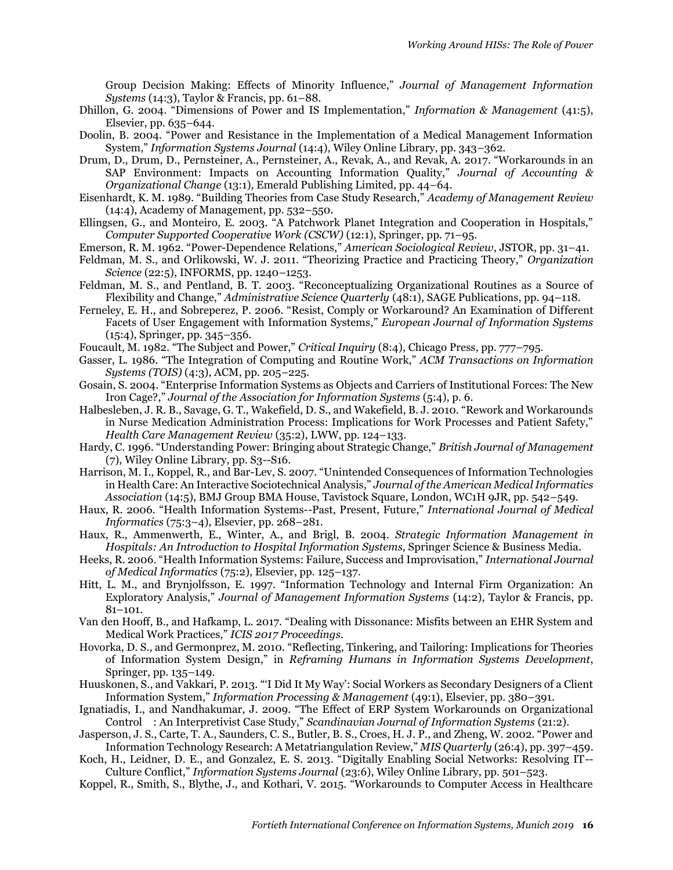Group Decision Making: Effects of Minority Influence," *Journal of Management Information Systems* (14:3), Taylor & Francis, pp. 61–88.

- Dhillon, G. 2004. "Dimensions of Power and IS Implementation," *Information & Management* (41:5), Elsevier, pp. 635–644.
- Doolin, B. 2004. "Power and Resistance in the Implementation of a Medical Management Information System," *Information Systems Journal* (14:4), Wiley Online Library, pp. 343–362.
- Drum, D., Drum, D., Pernsteiner, A., Pernsteiner, A., Revak, A., and Revak, A. 2017. "Workarounds in an SAP Environment: Impacts on Accounting Information Quality," *Journal of Accounting & Organizational Change* (13:1), Emerald Publishing Limited, pp. 44–64.
- Eisenhardt, K. M. 1989. "Building Theories from Case Study Research," *Academy of Management Review* (14:4), Academy of Management, pp. 532–550.
- Ellingsen, G., and Monteiro, E. 2003. "A Patchwork Planet Integration and Cooperation in Hospitals," *Computer Supported Cooperative Work (CSCW)* (12:1), Springer, pp. 71–95.
- Emerson, R. M. 1962. "Power-Dependence Relations," *American Sociological Review*, JSTOR, pp. 31–41.
- Feldman, M. S., and Orlikowski, W. J. 2011. "Theorizing Practice and Practicing Theory," *Organization Science* (22:5), INFORMS, pp. 1240–1253.
- Feldman, M. S., and Pentland, B. T. 2003. "Reconceptualizing Organizational Routines as a Source of Flexibility and Change," *Administrative Science Quarterly* (48:1), SAGE Publications, pp. 94–118.
- Ferneley, E. H., and Sobreperez, P. 2006. "Resist, Comply or Workaround? An Examination of Different Facets of User Engagement with Information Systems," *European Journal of Information Systems* (15:4), Springer, pp. 345–356.
- Foucault, M. 1982. "The Subject and Power," *Critical Inquiry* (8:4), Chicago Press, pp. 777–795.
- Gasser, L. 1986. "The Integration of Computing and Routine Work," *ACM Transactions on Information Systems (TOIS)* (4:3), ACM, pp. 205–225.
- Gosain, S. 2004. "Enterprise Information Systems as Objects and Carriers of Institutional Forces: The New Iron Cage?," *Journal of the Association for Information Systems* (5:4), p. 6.
- Halbesleben, J. R. B., Savage, G. T., Wakefield, D. S., and Wakefield, B. J. 2010. "Rework and Workarounds in Nurse Medication Administration Process: Implications for Work Processes and Patient Safety," *Health Care Management Review* (35:2), LWW, pp. 124–133.
- Hardy, C. 1996. "Understanding Power: Bringing about Strategic Change," *British Journal of Management* (7), Wiley Online Library, pp. S3--S16.
- Harrison, M. I., Koppel, R., and Bar-Lev, S. 2007. "Unintended Consequences of Information Technologies in Health Care: An Interactive Sociotechnical Analysis," *Journal of the American Medical Informatics Association* (14:5), BMJ Group BMA House, Tavistock Square, London, WC1H 9JR, pp. 542–549.
- Haux, R. 2006. "Health Information Systems--Past, Present, Future," *International Journal of Medical Informatics* (75:3–4), Elsevier, pp. 268–281.
- Haux, R., Ammenwerth, E., Winter, A., and Brigl, B. 2004. *Strategic Information Management in Hospitals: An Introduction to Hospital Information Systems*, Springer Science & Business Media.
- Heeks, R. 2006. "Health Information Systems: Failure, Success and Improvisation," *International Journal of Medical Informatics* (75:2), Elsevier, pp. 125–137.
- Hitt, L. M., and Brynjolfsson, E. 1997. "Information Technology and Internal Firm Organization: An Exploratory Analysis," *Journal of Management Information Systems* (14:2), Taylor & Francis, pp.  $81 - 101$ .
- Van den Hooff, B., and Hafkamp, L. 2017. "Dealing with Dissonance: Misfits between an EHR System and Medical Work Practices," *ICIS 2017 Proceedings*.
- Hovorka, D. S., and Germonprez, M. 2010. "Reflecting, Tinkering, and Tailoring: Implications for Theories of Information System Design," in *Reframing Humans in Information Systems Development*, Springer, pp. 135–149.
- Huuskonen, S., and Vakkari, P. 2013. "'I Did It My Way': Social Workers as Secondary Designers of a Client Information System," *Information Processing & Management* (49:1), Elsevier, pp. 380–391.
- Ignatiadis, I., and Nandhakumar, J. 2009. "The Effect of ERP System Workarounds on Organizational Control : An Interpretivist Case Study," *Scandinavian Journal of Information Systems* (21:2).
- Jasperson, J. S., Carte, T. A., Saunders, C. S., Butler, B. S., Croes, H. J. P., and Zheng, W. 2002. "Power and Information Technology Research: A Metatriangulation Review," *MIS Quarterly* (26:4), pp. 397–459.
- Koch, H., Leidner, D. E., and Gonzalez, E. S. 2013. "Digitally Enabling Social Networks: Resolving IT-- Culture Conflict," *Information Systems Journal* (23:6), Wiley Online Library, pp. 501–523.
- Koppel, R., Smith, S., Blythe, J., and Kothari, V. 2015. "Workarounds to Computer Access in Healthcare